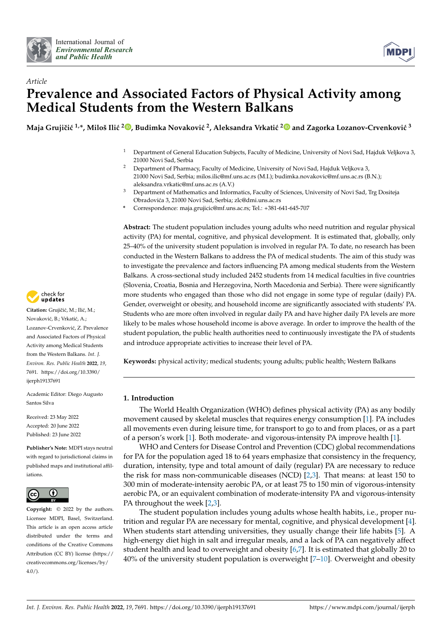



# *Article* **Prevalence and Associated Factors of Physical Activity among Medical Students from the Western Balkans**

 $\bf{M}$ aja Grujičić <sup>1[,](https://orcid.org/0000-0002-9538-5606)</sup>\*, Miloš Ilić <sup>[2](https://orcid.org/0000-0001-8358-5742)</sup>®, Budimka Novaković <sup>2</sup>, Aleksandra Vrkatić <sup>2</sup>® and Zagorka Lozanov-Crvenković  $^3$ 

- <sup>1</sup> Department of General Education Subjects, Faculty of Medicine, University of Novi Sad, Hajduk Veljkova 3, 21000 Novi Sad, Serbia
- <sup>2</sup> Department of Pharmacy, Faculty of Medicine, University of Novi Sad, Hajduk Veljkova 3, 21000 Novi Sad, Serbia; milos.ilic@mf.uns.ac.rs (M.I.); budimka.novakovic@mf.uns.ac.rs (B.N.); aleksandra.vrkatic@mf.uns.ac.rs (A.V.)
- <sup>3</sup> Department of Mathematics and Informatics, Faculty of Sciences, University of Novi Sad, Trg Dositeja Obradovi´ca 3, 21000 Novi Sad, Serbia; zlc@dmi.uns.ac.rs
- **\*** Correspondence: maja.grujicic@mf.uns.ac.rs; Tel.: +381-641-645-707

**Abstract:** The student population includes young adults who need nutrition and regular physical activity (PA) for mental, cognitive, and physical development. It is estimated that, globally, only 25–40% of the university student population is involved in regular PA. To date, no research has been conducted in the Western Balkans to address the PA of medical students. The aim of this study was to investigate the prevalence and factors influencing PA among medical students from the Western Balkans. A cross-sectional study included 2452 students from 14 medical faculties in five countries (Slovenia, Croatia, Bosnia and Herzegovina, North Macedonia and Serbia). There were significantly more students who engaged than those who did not engage in some type of regular (daily) PA. Gender, overweight or obesity, and household income are significantly associated with students' PA. Students who are more often involved in regular daily PA and have higher daily PA levels are more likely to be males whose household income is above average. In order to improve the health of the student population, the public health authorities need to continuously investigate the PA of students and introduce appropriate activities to increase their level of PA.

**Keywords:** physical activity; medical students; young adults; public health; Western Balkans

# **1. Introduction**

The World Health Organization (WHO) defines physical activity (PA) as any bodily movement caused by skeletal muscles that requires energy consumption [\[1\]](#page-12-0). PA includes all movements even during leisure time, for transport to go to and from places, or as a part of a person's work [\[1\]](#page-12-0). Both moderate- and vigorous-intensity PA improve health [\[1\]](#page-12-0).

WHO and Centers for Disease Control and Prevention (CDC) global recommendations for PA for the population aged 18 to 64 years emphasize that consistency in the frequency, duration, intensity, type and total amount of daily (regular) PA are necessary to reduce the risk for mass non-communicable diseases (NCD) [\[2](#page-12-1)[,3\]](#page-12-2). That means: at least 150 to 300 min of moderate-intensity aerobic PA, or at least 75 to 150 min of vigorous-intensity aerobic PA, or an equivalent combination of moderate-intensity PA and vigorous-intensity PA throughout the week [\[2](#page-12-1)[,3\]](#page-12-2).

The student population includes young adults whose health habits, i.e., proper nutrition and regular PA are necessary for mental, cognitive, and physical development [\[4\]](#page-13-0). When students start attending universities, they usually change their life habits [\[5\]](#page-13-1). A high-energy diet high in salt and irregular meals, and a lack of PA can negatively affect student health and lead to overweight and obesity [\[6,](#page-13-2)[7\]](#page-13-3). It is estimated that globally 20 to 40% of the university student population is overweight [\[7](#page-13-3)[–10\]](#page-13-4). Overweight and obesity



Citation: Grujičić, M.; Ilić, M.; Novaković, B.; Vrkatić, A.; Lozanov-Crvenković, Z. Prevalence and Associated Factors of Physical Activity among Medical Students from the Western Balkans. *Int. J. Environ. Res. Public Health* **2022**, *19*, 7691. [https://doi.org/10.3390/](https://doi.org/10.3390/ijerph19137691) [ijerph19137691](https://doi.org/10.3390/ijerph19137691)

Academic Editor: Diego Augusto Santos Silva

Received: 23 May 2022 Accepted: 20 June 2022 Published: 23 June 2022

**Publisher's Note:** MDPI stays neutral with regard to jurisdictional claims in published maps and institutional affiliations.



**Copyright:** © 2022 by the authors. Licensee MDPI, Basel, Switzerland. This article is an open access article distributed under the terms and conditions of the Creative Commons Attribution (CC BY) license [\(https://](https://creativecommons.org/licenses/by/4.0/) [creativecommons.org/licenses/by/](https://creativecommons.org/licenses/by/4.0/) 4.0/).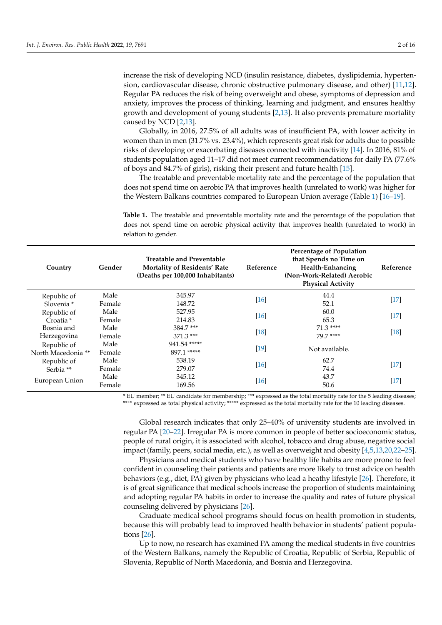increase the risk of developing NCD (insulin resistance, diabetes, dyslipidemia, hypertension, cardiovascular disease, chronic obstructive pulmonary disease, and other) [\[11,](#page-13-5)[12\]](#page-13-6). Regular PA reduces the risk of being overweight and obese, symptoms of depression and anxiety, improves the process of thinking, learning and judgment, and ensures healthy growth and development of young students [\[2](#page-12-1)[,13\]](#page-13-7). It also prevents premature mortality caused by NCD [\[2](#page-12-1)[,13\]](#page-13-7).

Globally, in 2016, 27.5% of all adults was of insufficient PA, with lower activity in women than in men (31.7% vs. 23.4%), which represents great risk for adults due to possible risks of developing or exacerbating diseases connected with inactivity [\[14\]](#page-13-8). In 2016, 81% of students population aged 11–17 did not meet current recommendations for daily PA (77.6% of boys and 84.7% of girls), risking their present and future health [\[15\]](#page-13-9).

The treatable and preventable mortality rate and the percentage of the population that does not spend time on aerobic PA that improves health (unrelated to work) was higher for the Western Balkans countries compared to European Union average (Table [1\)](#page-1-0) [\[16–](#page-13-10)[19\]](#page-13-11).

<span id="page-1-0"></span>**Table 1.** The treatable and preventable mortality rate and the percentage of the population that does not spend time on aerobic physical activity that improves health (unrelated to work) in relation to gender.

| Country               | Gender | <b>Treatable and Preventable</b><br>Mortality of Residents' Rate<br>(Deaths per 100,000 Inhabitants) | Reference          | <b>Percentage of Population</b><br>that Spends no Time on<br>Health-Enhancing<br>(Non-Work-Related) Aerobic<br><b>Physical Activity</b> | Reference            |  |
|-----------------------|--------|------------------------------------------------------------------------------------------------------|--------------------|-----------------------------------------------------------------------------------------------------------------------------------------|----------------------|--|
| Republic of           | Male   | 345.97                                                                                               | $[16]$             | 44.4                                                                                                                                    | $[17]$               |  |
| Slovenia <sup>*</sup> | Female | 148.72                                                                                               |                    | 52.1                                                                                                                                    |                      |  |
| Republic of           | Male   | 527.95                                                                                               | $[16]$             | 60.0                                                                                                                                    | $[17]$               |  |
| Croatia <sup>*</sup>  | Female | 214.83                                                                                               |                    | 65.3                                                                                                                                    |                      |  |
| Bosnia and            | Male   | 384.7***                                                                                             |                    | $71.3***$                                                                                                                               |                      |  |
| Herzegovina           | Female | $371.3***$                                                                                           | $\lceil 18 \rceil$ | 79 7 ****                                                                                                                               | $[18]$               |  |
| Republic of           | Male   | 941.54 *****                                                                                         |                    |                                                                                                                                         |                      |  |
| North Macedonia **    | Female | 897.1 *****                                                                                          | [19]               | Not available.                                                                                                                          |                      |  |
| Republic of           | Male   | 538.19                                                                                               |                    | 62.7                                                                                                                                    |                      |  |
| Serbia **             | Female | 279.07                                                                                               | $\lceil 16 \rceil$ | 74.4                                                                                                                                    | $[17]$               |  |
|                       | Male   | 345.12                                                                                               |                    | 43.7                                                                                                                                    |                      |  |
| European Union        | Female | 169.56                                                                                               | $[16]$             | 50.6                                                                                                                                    | $[17] \label{eq:17}$ |  |

\* EU member; \*\* EU candidate for membership; \*\*\* expressed as the total mortality rate for the 5 leading diseases; \*\*\*\* expressed as total physical activity; \*\*\*\*\* expressed as the total mortality rate for the 10 leading diseases.

Global research indicates that only 25–40% of university students are involved in regular PA [\[20–](#page-13-14)[22\]](#page-13-15). Irregular PA is more common in people of better socioeconomic status, people of rural origin, it is associated with alcohol, tobacco and drug abuse, negative social impact (family, peers, social media, etc.), as well as overweight and obesity [\[4](#page-13-0)[,5,](#page-13-1)[13,](#page-13-7)[20,](#page-13-14)[22](#page-13-15)[–25\]](#page-13-16).

Physicians and medical students who have healthy life habits are more prone to feel confident in counseling their patients and patients are more likely to trust advice on health behaviors (e.g., diet, PA) given by physicians who lead a heathy lifestyle [\[26\]](#page-13-17). Therefore, it is of great significance that medical schools increase the proportion of students maintaining and adopting regular PA habits in order to increase the quality and rates of future physical counseling delivered by physicians [\[26\]](#page-13-17).

Graduate medical school programs should focus on health promotion in students, because this will probably lead to improved health behavior in students' patient populations [\[26\]](#page-13-17).

Up to now, no research has examined PA among the medical students in five countries of the Western Balkans, namely the Republic of Croatia, Republic of Serbia, Republic of Slovenia, Republic of North Macedonia, and Bosnia and Herzegovina.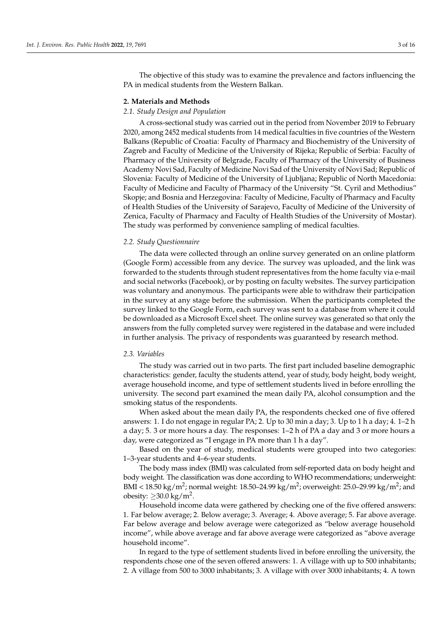The objective of this study was to examine the prevalence and factors influencing the PA in medical students from the Western Balkan.

#### **2. Materials and Methods**

## *2.1. Study Design and Population*

A cross-sectional study was carried out in the period from November 2019 to February 2020, among 2452 medical students from 14 medical faculties in five countries of the Western Balkans (Republic of Croatia: Faculty of Pharmacy and Biochemistry of the University of Zagreb and Faculty of Medicine of the University of Rijeka; Republic of Serbia: Faculty of Pharmacy of the University of Belgrade, Faculty of Pharmacy of the University of Business Academy Novi Sad, Faculty of Medicine Novi Sad of the University of Novi Sad; Republic of Slovenia: Faculty of Medicine of the University of Ljubljana; Republic of North Macedonia: Faculty of Medicine and Faculty of Pharmacy of the University "St. Cyril and Methodius" Skopje; and Bosnia and Herzegovina: Faculty of Medicine, Faculty of Pharmacy and Faculty of Health Studies of the University of Sarajevo, Faculty of Medicine of the University of Zenica, Faculty of Pharmacy and Faculty of Health Studies of the University of Mostar). The study was performed by convenience sampling of medical faculties.

## *2.2. Study Questionnaire*

The data were collected through an online survey generated on an online platform (Google Form) accessible from any device. The survey was uploaded, and the link was forwarded to the students through student representatives from the home faculty via e-mail and social networks (Facebook), or by posting on faculty websites. The survey participation was voluntary and anonymous. The participants were able to withdraw their participation in the survey at any stage before the submission. When the participants completed the survey linked to the Google Form, each survey was sent to a database from where it could be downloaded as a Microsoft Excel sheet. The online survey was generated so that only the answers from the fully completed survey were registered in the database and were included in further analysis. The privacy of respondents was guaranteed by research method.

## *2.3. Variables*

The study was carried out in two parts. The first part included baseline demographic characteristics: gender, faculty the students attend, year of study, body height, body weight, average household income, and type of settlement students lived in before enrolling the university. The second part examined the mean daily PA, alcohol consumption and the smoking status of the respondents.

When asked about the mean daily PA, the respondents checked one of five offered answers: 1. I do not engage in regular PA; 2. Up to 30 min a day; 3. Up to 1 h a day; 4. 1–2 h a day; 5. 3 or more hours a day. The responses: 1–2 h of PA a day and 3 or more hours a day, were categorized as "I engage in PA more than 1 h a day".

Based on the year of study, medical students were grouped into two categories: 1–3-year students and 4–6-year students.

The body mass index (BMI) was calculated from self-reported data on body height and body weight. The classification was done according to WHO recommendations; underweight: BMI < 18.50 kg/m<sup>2</sup>; normal weight: 18.50–24.99 kg/m<sup>2</sup>; overweight: 25.0–29.99 kg/m<sup>2</sup>; and obesity:  $\geq$ 30.0 kg/m<sup>2</sup>.

Household income data were gathered by checking one of the five offered answers: 1. Far below average; 2. Below average; 3. Average; 4. Above average; 5. Far above average. Far below average and below average were categorized as "below average household income", while above average and far above average were categorized as "above average household income".

In regard to the type of settlement students lived in before enrolling the university, the respondents chose one of the seven offered answers: 1. A village with up to 500 inhabitants; 2. A village from 500 to 3000 inhabitants; 3. A village with over 3000 inhabitants; 4. A town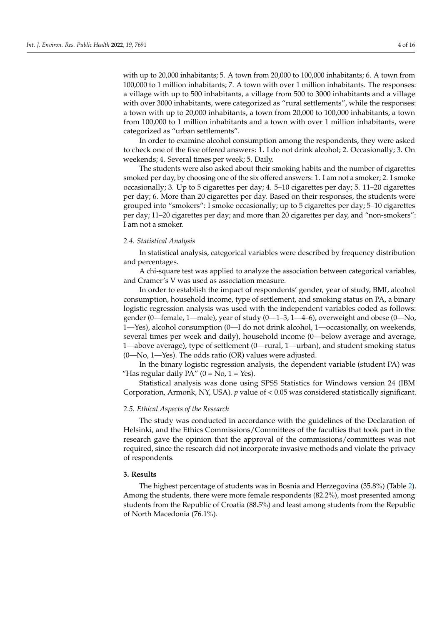with up to 20,000 inhabitants; 5. A town from 20,000 to 100,000 inhabitants; 6. A town from 100,000 to 1 million inhabitants; 7. A town with over 1 million inhabitants. The responses: a village with up to 500 inhabitants, a village from 500 to 3000 inhabitants and a village with over 3000 inhabitants, were categorized as "rural settlements", while the responses: a town with up to 20,000 inhabitants, a town from 20,000 to 100,000 inhabitants, a town from 100,000 to 1 million inhabitants and a town with over 1 million inhabitants, were categorized as "urban settlements".

In order to examine alcohol consumption among the respondents, they were asked to check one of the five offered answers: 1. I do not drink alcohol; 2. Occasionally; 3. On weekends; 4. Several times per week; 5. Daily.

The students were also asked about their smoking habits and the number of cigarettes smoked per day, by choosing one of the six offered answers: 1. I am not a smoker; 2. I smoke occasionally; 3. Up to 5 cigarettes per day; 4. 5–10 cigarettes per day; 5. 11–20 cigarettes per day; 6. More than 20 cigarettes per day. Based on their responses, the students were grouped into "smokers": I smoke occasionally; up to 5 cigarettes per day; 5–10 cigarettes per day; 11–20 cigarettes per day; and more than 20 cigarettes per day, and "non-smokers": I am not a smoker.

### *2.4. Statistical Analysis*

In statistical analysis, categorical variables were described by frequency distribution and percentages.

A chi-square test was applied to analyze the association between categorical variables, and Cramer's V was used as association measure.

In order to establish the impact of respondents' gender, year of study, BMI, alcohol consumption, household income, type of settlement, and smoking status on PA, a binary logistic regression analysis was used with the independent variables coded as follows: gender (0—female, 1—male), year of study (0—1–3, 1—4–6), overweight and obese (0—No, 1—Yes), alcohol consumption (0—I do not drink alcohol, 1—occasionally, on weekends, several times per week and daily), household income (0—below average and average, 1—above average), type of settlement (0—rural, 1—urban), and student smoking status  $(0$ —No, 1—Yes). The odds ratio  $(OR)$  values were adjusted.

In the binary logistic regression analysis, the dependent variable (student PA) was "Has regular daily  $PA$ " (0 = No, 1 = Yes).

Statistical analysis was done using SPSS Statistics for Windows version 24 (IBM Corporation, Armonk, NY, USA). *p* value of < 0.05 was considered statistically significant.

## *2.5. Ethical Aspects of the Research*

The study was conducted in accordance with the guidelines of the Declaration of Helsinki, and the Ethics Commissions/Committees of the faculties that took part in the research gave the opinion that the approval of the commissions/committees was not required, since the research did not incorporate invasive methods and violate the privacy of respondents.

# **3. Results**

The highest percentage of students was in Bosnia and Herzegovina (35.8%) (Table [2\)](#page-4-0). Among the students, there were more female respondents (82.2%), most presented among students from the Republic of Croatia (88.5%) and least among students from the Republic of North Macedonia (76.1%).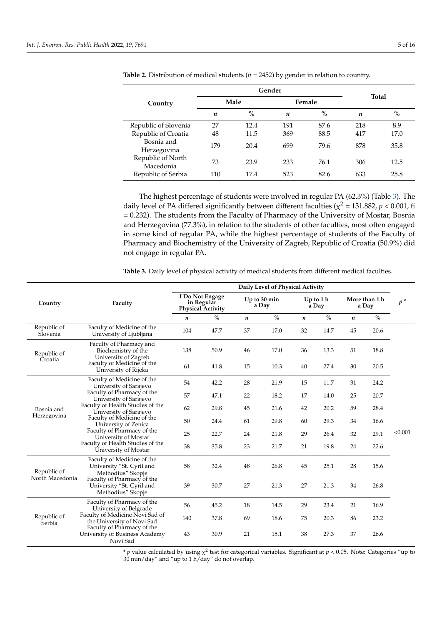|                                |     | Gender        | <b>Total</b> |        |                  |      |  |  |
|--------------------------------|-----|---------------|--------------|--------|------------------|------|--|--|
| Country                        |     | Male          |              | Female |                  |      |  |  |
|                                | n   | $\frac{9}{0}$ | n            | $\%$   | $\boldsymbol{n}$ | $\%$ |  |  |
| Republic of Slovenia           | 27  | 12.4          | 191          | 87.6   | 218              | 8.9  |  |  |
| Republic of Croatia            | 48  | 11.5          | 369          | 88.5   | 417              | 17.0 |  |  |
| Bosnia and<br>Herzegovina      | 179 | 20.4          | 699          | 79.6   | 878              | 35.8 |  |  |
| Republic of North<br>Macedonia | 73  | 23.9          | 233          | 76.1   | 306              | 12.5 |  |  |
| Republic of Serbia             | 110 | 17.4          | 523          | 82.6   | 633              | 25.8 |  |  |

<span id="page-4-0"></span>**Table 2.** Distribution of medical students (*n* = 2452) by gender in relation to country.

The highest percentage of students were involved in regular PA (62.3%) (Table [3\)](#page-4-1). The daily level of PA differed significantly between different faculties ( $\chi^2$  = 131.882, *p* < 0.001, fi = 0.232). The students from the Faculty of Pharmacy of the University of Mostar, Bosnia and Herzegovina (77.3%), in relation to the students of other faculties, most often engaged in some kind of regular PA, while the highest percentage of students of the Faculty of Pharmacy and Biochemistry of the University of Zagreb, Republic of Croatia (50.9%) did not engage in regular PA.

<span id="page-4-1"></span>**Table 3.** Daily level of physical activity of medical students from different medical faculties.

|                                |                                                                              | Daily Level of Physical Activity                          |      |                       |      |                     |      |                        |      |         |  |
|--------------------------------|------------------------------------------------------------------------------|-----------------------------------------------------------|------|-----------------------|------|---------------------|------|------------------------|------|---------|--|
| Country                        | Faculty                                                                      | I Do Not Engage<br>in Regular<br><b>Physical Activity</b> |      | Up to 30 min<br>a Day |      | Up to $1h$<br>a Day |      | More than 1 h<br>a Day |      | $p^*$   |  |
|                                |                                                                              | $\boldsymbol{n}$                                          | $\%$ | $\boldsymbol{n}$      | $\%$ | $\boldsymbol{n}$    | $\%$ | $\boldsymbol{n}$       | $\%$ |         |  |
| Republic of<br>Slovenia        | Faculty of Medicine of the<br>University of Ljubljana                        | 104                                                       | 47.7 | 37                    | 17.0 | 32                  | 14.7 | 45                     | 20.6 |         |  |
| Republic of<br>Croatia         | Faculty of Pharmacy and<br>Biochemistry of the<br>University of Zagreb       | 138                                                       | 50.9 | 46                    | 17.0 | 36                  | 13.3 | 51                     | 18.8 |         |  |
|                                | Faculty of Medicine of the<br>University of Rijeka                           | 61                                                        | 41.8 | 15                    | 10.3 | 40                  | 27.4 | 30                     | 20.5 |         |  |
| Bosnia and<br>Herzegovina      | Faculty of Medicine of the<br>University of Sarajevo                         | 54                                                        | 42.2 | 28                    | 21.9 | 15                  | 11.7 | 31                     | 24.2 |         |  |
|                                | Faculty of Pharmacy of the<br>University of Sarajevo                         | 57                                                        | 47.1 | 22                    | 18.2 | 17                  | 14.0 | 25                     | 20.7 |         |  |
|                                | Faculty of Health Studies of the<br>University of Sarajevo                   | 62                                                        | 29.8 | 45                    | 21.6 | 42                  | 20.2 | 59                     | 28.4 |         |  |
|                                | Faculty of Medicine of the<br>University of Zenica                           | 50                                                        | 24.4 | 61                    | 29.8 | 60                  | 29.3 | 34                     | 16.6 |         |  |
|                                | Faculty of Pharmacy of the<br>University of Mostar                           | 25                                                        | 22.7 | 24                    | 21.8 | 29                  | 26.4 | 32                     | 29.1 | < 0.001 |  |
|                                | Faculty of Health Studies of the<br>University of Mostar                     | 38                                                        | 35.8 | 23                    | 21.7 | 21                  | 19.8 | 24                     | 22.6 |         |  |
| Republic of<br>North Macedonia | Faculty of Medicine of the<br>University "St. Cyril and<br>Methodius" Skopje | 58                                                        | 32.4 | 48                    | 26.8 | 45                  | 25.1 | 28                     | 15.6 |         |  |
|                                | Faculty of Pharmacy of the<br>University "St. Cyril and<br>Methodius" Skopje | 39                                                        | 30.7 | 27                    | 21.3 | 27                  | 21.3 | 34                     | 26.8 |         |  |
|                                | Faculty of Pharmacy of the<br>University of Belgrade                         | 56                                                        | 45.2 | 18                    | 14.5 | 29                  | 23.4 | 21                     | 16.9 |         |  |
| Republic of<br>Serbia          | Faculty of Medicine Novi Sad of<br>the University of Novi Sad                | 140                                                       | 37.8 | 69                    | 18.6 | 75                  | 20.3 | 86                     | 23.2 |         |  |
|                                | Faculty of Pharmacy of the<br>University of Business Academy<br>Novi Sad     | 43                                                        | 30.9 | 21                    | 15.1 | 38                  | 27.3 | 37                     | 26.6 |         |  |

\* *p* value calculated by using  $\chi^2$  test for categorical variables. Significant at  $p < 0.05$ . Note: Categories "up to 30 min/day" and "up to 1 h/day" do not overlap.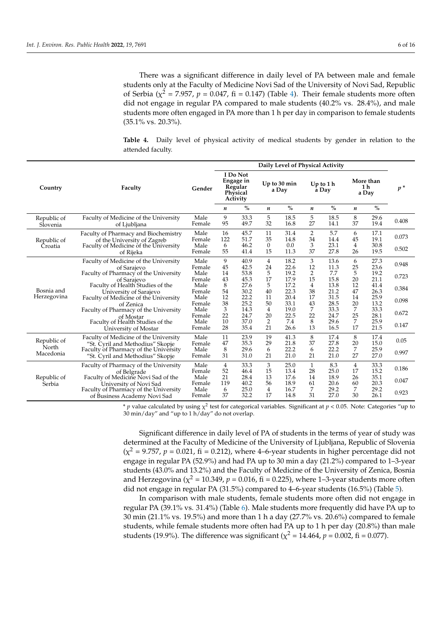There was a significant difference in daily level of PA between male and female students only at the Faculty of Medicine Novi Sad of the University of Novi Sad, Republic of Serbia ( $\chi^2$  = 7.957,  $p$  = 0.047, fi = 0.147) (Table [4\)](#page-5-0). Their female students more often did not engage in regular PA compared to male students (40.2% vs. 28.4%), and male students more often engaged in PA more than 1 h per day in comparison to female students (35.1% vs. 20.3%).

<span id="page-5-0"></span>**Table 4.** Daily level of physical activity of medical students by gender in relation to the attended faculty.

|                         |                                                                                                                                                                                                                                                                                        |                | Daily Level of Physical Activity                                |              |                       |               |                     |               |                                      |               |       |
|-------------------------|----------------------------------------------------------------------------------------------------------------------------------------------------------------------------------------------------------------------------------------------------------------------------------------|----------------|-----------------------------------------------------------------|--------------|-----------------------|---------------|---------------------|---------------|--------------------------------------|---------------|-------|
| Country                 | Faculty                                                                                                                                                                                                                                                                                | Gender         | I Do Not<br><b>Engage</b> in<br>Regular<br>Physical<br>Activity |              | Up to 30 min<br>a Day |               | Up to $1h$<br>a Day |               | More than<br>1 <sub>h</sub><br>a Day |               | $p^*$ |
|                         |                                                                                                                                                                                                                                                                                        |                | n                                                               | $\%$         | $\boldsymbol{n}$      | $\frac{0}{0}$ | n                   | $\frac{0}{0}$ | n                                    | $\frac{0}{0}$ |       |
| Republic of<br>Slovenia | Faculty of Medicine of the University<br>of Ljubljana                                                                                                                                                                                                                                  | Male<br>Female | 9<br>95                                                         | 33.3<br>49.7 | 5<br>32               | 18.5<br>16.8  | 5<br>27             | 18.5<br>14.1  | 8<br>37                              | 29.6<br>19.4  | 0.408 |
| Republic of             | Faculty of Pharmacy and Biochemistry<br>of the University of Zagreb                                                                                                                                                                                                                    | Male<br>Female | 16<br>122                                                       | 45.7<br>51.7 | 11<br>35              | 31.4<br>14.8  | 2<br>34             | 5.7<br>14.4   | 6<br>45                              | 17.1<br>19.1  | 0.073 |
| Croatia                 | Faculty of Medicine of the University<br>of Rijeka                                                                                                                                                                                                                                     | Male<br>Female | 6<br>55                                                         | 46.2<br>41.4 | $\theta$<br>15        | 0.0<br>11.3   | 3<br>37             | 23.1<br>27.8  | 4<br>26                              | 30.8<br>19.5  | 0.502 |
|                         | Faculty of Medicine of the University<br>of Sarajevo<br>Faculty of Pharmacy of the University<br>of Sarajevo<br>Faculty of Health Studies of the<br>University of Sarajevo<br>Faculty of Medicine of the University<br>of Zenica<br>Faculty of Pharmacy of the University<br>of Mostar | Male<br>Female | 9<br>45                                                         | 40.9<br>42.5 | 4<br>24               | 18.2<br>22.6  | 3<br>12             | 13.6<br>11.3  | 6<br>25                              | 27.3<br>23.6  | 0.948 |
|                         |                                                                                                                                                                                                                                                                                        | Male<br>Female | 14<br>43                                                        | 53.8<br>45.3 | 5<br>17               | 19.2<br>17.9  | 2<br>15             | 7.7<br>15.8   | 5<br>20                              | 19.2<br>21.1  | 0.723 |
| Bosnia and              |                                                                                                                                                                                                                                                                                        | Male<br>Female | 8<br>54                                                         | 27.6<br>30.2 | 5<br>40               | 17.2<br>22.3  | 4<br>38             | 13.8<br>21.2  | 12<br>47                             | 41.4<br>26.3  | 0.384 |
| Herzegovina             |                                                                                                                                                                                                                                                                                        | Male<br>Female | 12<br>38                                                        | 22.2<br>25.2 | 11<br>50              | 20.4<br>33.1  | 17<br>43            | 31.5<br>28.5  | 14<br>20                             | 25.9<br>13.2  | 0.098 |
|                         |                                                                                                                                                                                                                                                                                        | Male<br>Female | 3<br>22                                                         | 14.3<br>24.7 | 4<br>20               | 19.0<br>22.5  | 7<br>22             | 33.3<br>24.7  | 7<br>25                              | 33.3<br>28.1  | 0.672 |
|                         | Faculty of Health Studies of the<br>University of Mostar                                                                                                                                                                                                                               | Male<br>Female | 10<br>28                                                        | 37.0<br>35.4 | $\overline{2}$<br>21  | 7.4<br>26.6   | 8<br>13             | 29.6<br>16.5  | 7<br>17                              | 25.9<br>21.5  | 0.147 |
| Republic of             | Faculty of Medicine of the University<br>"St. Cyril and Methodius" Skopje                                                                                                                                                                                                              | Male<br>Female | 11<br>47                                                        | 23.9<br>35.3 | 19<br>29              | 41.3<br>21.8  | 8<br>37             | 17.4<br>27.8  | 8<br>20                              | 17.4<br>15.0  | 0.05  |
| North<br>Macedonia      | Faculty of Pharmacy of the University<br>"St. Cyril and Methodius" Skopje                                                                                                                                                                                                              | Male<br>Female | 8<br>31                                                         | 29.6<br>31.0 | 6<br>21               | 22.2<br>21.0  | 6<br>21             | 22.2<br>21.0  | 7<br>27                              | 25.9<br>27.0  | 0.997 |
|                         | Faculty of Pharmacy of the University<br>of Belgrade                                                                                                                                                                                                                                   | Male<br>Female | 4<br>52                                                         | 33.3<br>46.4 | 3<br>15               | 25.0<br>13.4  | $\mathbf{1}$<br>28  | 8.3<br>25.0   | 4<br>17                              | 33.3<br>15.2  | 0.186 |
| Republic of<br>Serbia   | Faculty of Medicine Novi Sad of the<br>University of Novi Sad                                                                                                                                                                                                                          | Male<br>Female | 21<br>119                                                       | 28.4<br>40.2 | 13<br>56              | 17.6<br>18.9  | 14<br>61            | 18.9<br>20.6  | 26<br>60                             | 35.1<br>20.3  | 0.047 |
|                         | Faculty of Pharmacy of the University<br>of Business Academy Novi Sad                                                                                                                                                                                                                  | Male<br>Female | 6<br>37                                                         | 25.0<br>32.2 | 4<br>17               | 16.7<br>14.8  | 7<br>31             | 29.2<br>27.0  | 7<br>30                              | 29.2<br>26.1  | 0.923 |

\* *p* value calculated by using  $\chi^2$  test for categorical variables. Significant at  $p < 0.05$ . Note: Categories "up to 30 min/day" and "up to 1 h/day" do not overlap.

Significant difference in daily level of PA of students in the terms of year of study was determined at the Faculty of Medicine of the University of Ljubljana, Republic of Slovenia  $(\chi^2 = 9.757, p = 0.021, fi = 0.212)$ , where 4–6-year students in higher percentage did not engage in regular PA (52.9%) and had PA up to 30 min a day (21.2%) compared to 1–3-year students (43.0% and 13.2%) and the Faculty of Medicine of the University of Zenica, Bosnia and Herzegovina ( $\chi^2$  = 10.349,  $p$  = 0.016, fi = 0.225), where 1–3-year students more often did not engage in regular PA (31.5%) compared to 4–6-year students (16.5%) (Table [5\)](#page-6-0).

In comparison with male students, female students more often did not engage in regular PA (39.1% vs. 31.4%) (Table [6\)](#page-7-0). Male students more frequently did have PA up to 30 min (21.1% vs. 19.5%) and more than 1 h a day (27.7% vs. 20.6%) compared to female students, while female students more often had PA up to 1 h per day (20.8%) than male students (19.9%). The difference was significant ( $\chi^2$  = 14.464*, p* = 0.002*,* fi = 0.077).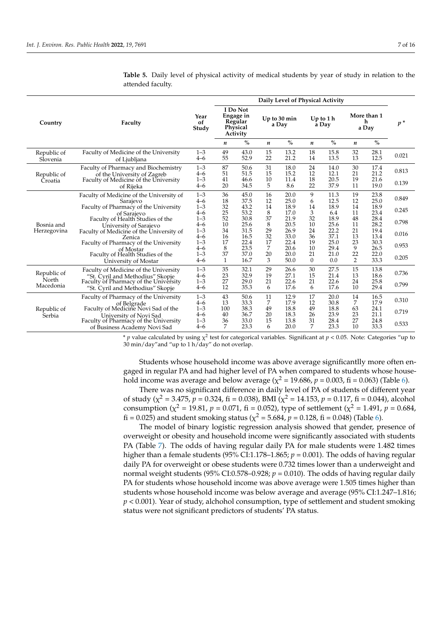|                           |                                                                                                                                                                                                                                                                                            |                               | Daily Level of Physical Activity                         |                      |                       |                      |                     |                      |                           |                      |                |
|---------------------------|--------------------------------------------------------------------------------------------------------------------------------------------------------------------------------------------------------------------------------------------------------------------------------------------|-------------------------------|----------------------------------------------------------|----------------------|-----------------------|----------------------|---------------------|----------------------|---------------------------|----------------------|----------------|
| Country                   | Faculty                                                                                                                                                                                                                                                                                    | Year<br>of<br>Study           | I Do Not<br>Engage in<br>Regular<br>Physical<br>Activity |                      | Up to 30 min<br>a Day |                      | Up to $1h$<br>a Day |                      | More than 1<br>h<br>a Day |                      | $p^*$          |
|                           |                                                                                                                                                                                                                                                                                            |                               | n                                                        | $\%$                 | n                     | $\%$                 | n                   | $\%$                 | n                         | $\frac{0}{0}$        |                |
| Republic of<br>Slovenia   | Faculty of Medicine of the University<br>of Ljubljana                                                                                                                                                                                                                                      | $1 - 3$<br>$4 - 6$            | 49<br>55                                                 | 43.0<br>52.9         | 15<br>22              | 13.2<br>21.2         | 18<br>14            | 15.8<br>13.5         | 32<br>13                  | 28.1<br>12.5         | 0.021          |
| Republic of<br>Croatia    | Faculty of Pharmacy and Biochemistry<br>of the University of Zagreb<br>Faculty of Medicine of the University                                                                                                                                                                               | $1 - 3$<br>$4 - 6$<br>$1 - 3$ | 87<br>51<br>41                                           | 50.6<br>51.5<br>46.6 | 31<br>15<br>10        | 18.0<br>15.2<br>11.4 | 24<br>12<br>18      | 14.0<br>12.1<br>20.5 | 30<br>21<br>19            | 17.4<br>21.2<br>21.6 | 0.813<br>0.139 |
|                           | of Rijeka<br>Faculty of Medicine of the University of<br>Sarajevo                                                                                                                                                                                                                          | $4 - 6$<br>$1 - 3$<br>$4 - 6$ | 20<br>36<br>18                                           | 34.5<br>45.0<br>37.5 | 5<br>16<br>12         | 8.6<br>20.0<br>25.0  | 22<br>9<br>6        | 37.9<br>11.3<br>12.5 | 11<br>19<br>12            | 19.0<br>23.8<br>25.0 | 0.849          |
|                           | Faculty of Pharmacy of the University<br>of Sarajevo<br>Faculty of Health Studies of the<br>University of Sarajevo<br>Faculty of Medicine of the University of<br>Zenica<br>Faculty of Pharmacy of the University<br>of Mostar<br>Faculty of Health Studies of the<br>University of Mostar | $1 - 3$<br>$4 - 6$<br>$1 - 3$ | 32<br>25<br>52                                           | 43.2<br>53.2<br>30.8 | 14<br>8<br>37         | 18.9<br>17.0<br>21.9 | 14<br>3<br>32       | 18.9<br>6.4<br>18.9  | 14<br>11<br>48            | 18.9<br>23.4<br>28.4 | 0.245          |
| Bosnia and<br>Herzegovina |                                                                                                                                                                                                                                                                                            | $4 - 6$<br>$1 - 3$            | 10<br>34                                                 | 25.6<br>31.5         | 8<br>29               | 20.5<br>26.9         | 10<br>24            | 25.6<br>22.2         | 11<br>21                  | 28.2<br>19.4         | 0.798          |
|                           |                                                                                                                                                                                                                                                                                            | $4 - 6$<br>$1 - 3$<br>$4 - 6$ | 16<br>17<br>8                                            | 16.5<br>22.4<br>23.5 | 32<br>17<br>7         | 33.0<br>22.4<br>20.6 | 36<br>19<br>10      | 37.1<br>25.0<br>29.4 | 13<br>23<br>9             | 13.4<br>30.3<br>26.5 | 0.016<br>0.953 |
|                           |                                                                                                                                                                                                                                                                                            | $1 - 3$<br>$4 - 6$            | 37<br>$\mathbf{1}$                                       | 37.0<br>16.7         | 20<br>3               | 20.0<br>50.0         | 21<br>$\Omega$      | 21.0<br>0.0          | 22<br>2                   | 22.0<br>33.3         | 0.205          |
| Republic of               | Faculty of Medicine of the University<br>"St. Cyril and Methodius" Skopje                                                                                                                                                                                                                  | $1 - 3$<br>$4 - 6$            | 35<br>23                                                 | 32.1<br>32.9         | 29<br>19              | 26.6<br>27.1         | 30<br>15            | 27.5<br>21.4         | 15<br>13                  | 13.8<br>18.6         | 0.736          |
| North<br>Macedonia        | Faculty of Pharmacy of the University<br>"St. Cyril and Methodius" Skopje                                                                                                                                                                                                                  | $1 - 3$<br>$4 - 6$            | 27<br>12                                                 | 29.0<br>35.3         | 21<br>6               | 22.6<br>17.6         | 21<br>6             | 22.6<br>17.6         | 24<br>10                  | 25.8<br>29.4         | 0.799          |
|                           | Faculty of Pharmacy of the University<br>of Belgrade                                                                                                                                                                                                                                       | $1 - 3$<br>$4 - 6$            | 43<br>13                                                 | 50.6<br>33.3         | 11<br>7               | 12.9<br>17.9         | 17<br>12            | 20.0<br>30.8         | 14<br>7                   | 16.5<br>17.9         | 0.310          |
| Republic of<br>Serbia     | Faculty of Medicine Novi Sad of the<br>University of Novi Sad                                                                                                                                                                                                                              | $1 - 3$<br>$4 - 6$            | 100<br>40                                                | 38.3<br>36.7         | 49<br>20              | 18.8<br>18.3         | 49<br>26            | 18.8<br>23.9         | 63<br>23                  | 24.1<br>21.1         | 0.719          |
|                           | Faculty of Pharmacy of the University<br>of Business Academy Novi Sad                                                                                                                                                                                                                      | $1 - 3$<br>$4 - 6$            | 36<br>7                                                  | 33.0<br>23.3         | 15<br>6               | 13.8<br>20.0         | 31<br>7             | 28.4<br>23.3         | 27<br>10                  | 24.8<br>33.3         | 0.533          |

<span id="page-6-0"></span>**Table 5.** Daily level of physical activity of medical students by year of study in relation to the attended faculty.

\* *p* value calculated by using  $\chi^2$  test for categorical variables. Significant at *p* < 0.05. Note: Categories "up to 30 min/day"and "up to 1 h/day" do not overlap.

Students whose household income was above average significantlly more often engaged in regular PA and had higher level of PA when compared to students whose household income was average and below average ( $\chi^2$  = 19.686,  $p$  = 0.003, fi = 0.063) (Table [6\)](#page-7-0).

There was no significant difference in daily level of PA of students of different year of study ( $\chi^2$  = 3.475,  $p$  = 0.324, fi = 0.038), BMI ( $\chi^2$  = 14.153,  $p$  = 0.117, fi = 0.044), alcohol consumption ( $\chi^2$  = 19.81, *p* = 0.071, fi = 0.052), type of settlement ( $\chi^2$  = 1.491, *p* = 0.684, fi = 0.025) and student smoking status ( $\chi^2$  = 5.684,  $p$  = 0.128, fi = 0.048) (Table [6\)](#page-7-0).

The model of binary logistic regression analysis showed that gender, presence of overweight or obesity and household income were significantly associated with students PA (Table [7\)](#page-7-1). The odds of having regular daily PA for male students were 1.482 times higher than a female students (95% CI:1.178–1.865; *p* = 0.001). The odds of having regular daily PA for overweight or obese students were 0.732 times lower than a underweight and normal weight students (95% CI:0.578-0.928;  $p = 0.010$ ). The odds of having regular daily PA for students whose household income was above average were 1.505 times higher than students whose household income was below average and average (95% CI:1.247–1.816; *p* < 0.001). Year of study, alchohol consumption, type of settlement and student smoking status were not significant predictors of students' PA status.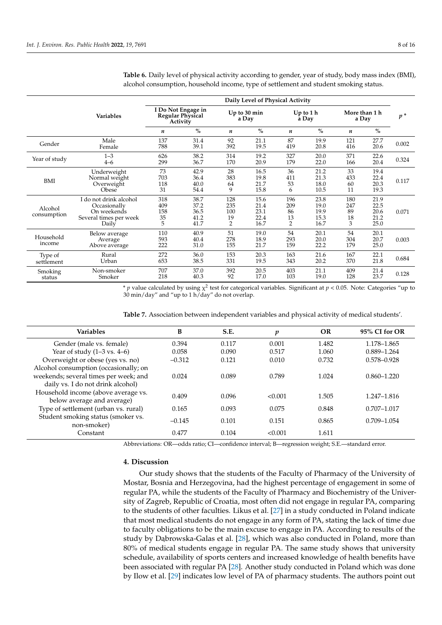|                        | Daily Level of Physical Activity                                                         |                                                    |                                      |                                           |                                      |                                          |                                      |                             |                                      |       |
|------------------------|------------------------------------------------------------------------------------------|----------------------------------------------------|--------------------------------------|-------------------------------------------|--------------------------------------|------------------------------------------|--------------------------------------|-----------------------------|--------------------------------------|-------|
|                        | <b>Variables</b>                                                                         | I Do Not Engage in<br>Regular Physical<br>Activity |                                      | Up to 30 min<br>a Day                     |                                      |                                          | $Up$ to 1 h<br>a Day                 | More than 1 h<br>a Day      |                                      | $p^*$ |
|                        |                                                                                          | $\boldsymbol{n}$                                   | $\frac{0}{0}$                        | n                                         | $\%$                                 | n                                        | $\%$                                 | $\boldsymbol{n}$            | $\%$                                 |       |
| Gender                 | Male<br>Female                                                                           | 137<br>788                                         | 31.4<br>39.1                         | 92<br>392                                 | 21.1<br>19.5                         | 87<br>419                                | 19.9<br>20.8                         | 121<br>416                  | 27.7<br>20.6                         | 0.002 |
| Year of study          | $1 - 3$<br>$4 - 6$                                                                       | 626<br>299                                         | 38.2<br>36.7                         | 314<br>170                                | 19.2<br>20.9                         | 327<br>179                               | 20.0<br>22.0                         | 371<br>166                  | 22.6<br>20.4                         | 0.324 |
| BMI                    | Underweight<br>Normal weight<br>Overweight<br><b>Obese</b>                               | 73<br>703<br>118<br>31                             | 42.9<br>36.4<br>40.0<br>54.4         | 28<br>383<br>64<br>9                      | 16.5<br>19.8<br>21.7<br>15.8         | 36<br>411<br>53<br>6                     | 21.2<br>21.3<br>18.0<br>10.5         | 33<br>433<br>60<br>11       | 19.4<br>22.4<br>20.3<br>19.3         | 0.117 |
| Alcohol<br>consumption | I do not drink alcohol<br>Occasionally<br>On weekends<br>Several times per week<br>Daily | 318<br>409<br>158<br>35<br>5                       | 38.7<br>37.2<br>36.5<br>41.2<br>41.7 | 128<br>235<br>100<br>19<br>$\overline{2}$ | 15.6<br>21.4<br>23.1<br>22.4<br>16.7 | 196<br>209<br>86<br>13<br>$\overline{2}$ | 23.8<br>19.0<br>19.9<br>15.3<br>16.7 | 180<br>247<br>89<br>18<br>3 | 21.9<br>22.5<br>20.6<br>21.2<br>25.0 | 0.071 |
| Household<br>income    | Below average<br>Average<br>Above average                                                | 110<br>593<br>222                                  | 40.9<br>40.4<br>31.0                 | 51<br>278<br>155                          | 19.0<br>18.9<br>21.7                 | 54<br>293<br>159                         | 20.1<br>20.0<br>22.2                 | 54<br>304<br>179            | 20.1<br>20.7<br>25.0                 | 0.003 |
| Type of<br>settlement  | Rural<br>Urban                                                                           | 272<br>653                                         | 36.0<br>38.5                         | 153<br>331                                | 20.3<br>19.5                         | 163<br>343                               | 21.6<br>20.2                         | 167<br>370                  | 22.1<br>21.8                         | 0.684 |
| Smoking<br>status      | Non-smoker<br>Smoker                                                                     | 707<br>218                                         | 37.0<br>40.3                         | 392<br>92                                 | 20.5<br>17.0                         | 403<br>103                               | 21.1<br>19.0                         | 409<br>128                  | 21.4<br>23.7                         | 0.128 |

<span id="page-7-0"></span>**Table 6.** Daily level of physical activity according to gender, year of study, body mass index (BMI), alcohol consumption, household income, type of settlement and student smoking status.

\* *p* value calculated by using  $\chi^2$  test for categorical variables. Significant at  $p < 0.05$ . Note: Categories "up to 30 min/day" and "up to 1 h/day" do not overlap.

| <b>Variables</b>                                                                                                    | B        | S.E.  | p       | <b>OR</b> | 95% CI for OR   |
|---------------------------------------------------------------------------------------------------------------------|----------|-------|---------|-----------|-----------------|
| Gender (male vs. female)                                                                                            | 0.394    | 0.117 | 0.001   | 1.482     | 1.178-1.865     |
| Year of study $(1-3 \text{ vs. } 4-6)$                                                                              | 0.058    | 0.090 | 0.517   | 1.060     | $0.889 - 1.264$ |
| Overweight or obese (yes vs. no)                                                                                    | $-0.312$ | 0.121 | 0.010   | 0.732     | 0.578-0.928     |
| Alcohol consumption (occasionally; on<br>weekends; several times per week; and<br>daily vs. I do not drink alcohol) | 0.024    | 0.089 | 0.789   | 1.024     | $0.860 - 1.220$ |
| Household income (above average vs.<br>below average and average)                                                   | 0.409    | 0.096 | < 0.001 | 1.505     | 1.247-1.816     |
| Type of settlement (urban vs. rural)                                                                                | 0.165    | 0.093 | 0.075   | 0.848     | $0.707 - 1.017$ |
| Student smoking status (smoker vs.<br>non-smoker)                                                                   | $-0.145$ | 0.101 | 0.151   | 0.865     | $0.709 - 1.054$ |
| Constant                                                                                                            | 0.477    | 0.104 | < 0.001 | 1.611     |                 |

<span id="page-7-1"></span>**Table 7.** Association between independent variables and physical activity of medical students'.

Abbreviations: OR—odds ratio; CI—confidence interval; B—regression weight; S.E.—standard error.

#### **4. Discussion**

Our study shows that the students of the Faculty of Pharmacy of the University of Mostar, Bosnia and Herzegovina, had the highest percentage of engagement in some of regular PA, while the students of the Faculty of Pharmacy and Biochemistry of the University of Zagreb, Republic of Croatia, most often did not engage in regular PA, comparing to the students of other faculties. Likus et al. [\[27\]](#page-13-18) in a study conducted in Poland indicate that most medical students do not engage in any form of PA, stating the lack of time due to faculty obligations to be the main excuse to engage in PA. According to results of the study by Dąbrowska-Galas et al. [\[28\]](#page-13-19), which was also conducted in Poland, more than 80% of medical students engage in regular PA. The same study shows that university schedule, availability of sports centers and increased knowledge of health benefits have been associated with regular PA [\[28\]](#page-13-19). Another study conducted in Poland which was done by Ilow et al. [\[29\]](#page-14-0) indicates low level of PA of pharmacy students. The authors point out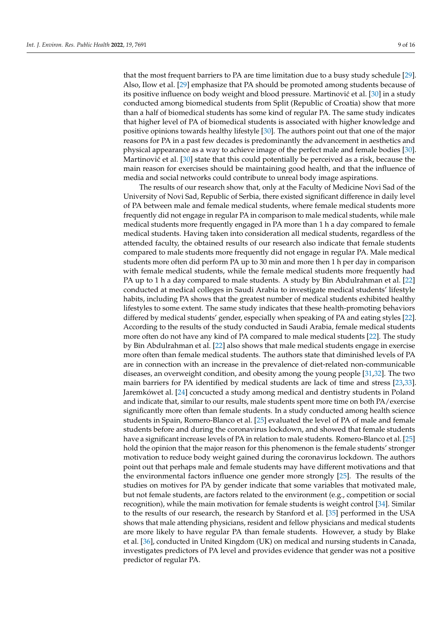that the most frequent barriers to PA are time limitation due to a busy study schedule [\[29\]](#page-14-0). Also, Ilow et al. [\[29\]](#page-14-0) emphasize that PA should be promoted among students because of its positive influence on body weight and blood pressure. Martinović et al. [\[30\]](#page-14-1) in a study conducted among biomedical students from Split (Republic of Croatia) show that more than a half of biomedical students has some kind of regular PA. The same study indicates that higher level of PA of biomedical students is associated with higher knowledge and positive opinions towards healthy lifestyle [\[30\]](#page-14-1). The authors point out that one of the major reasons for PA in a past few decades is predominantly the advancement in aesthetics and physical appearance as a way to achieve image of the perfect male and female bodies [\[30\]](#page-14-1). Martinović et al.  $[30]$  state that this could potentially be perceived as a risk, because the main reason for exercises should be maintaining good health, and that the influence of media and social networks could contribute to unreal body image aspirations.

The results of our research show that, only at the Faculty of Medicine Novi Sad of the University of Novi Sad, Republic of Serbia, there existed significant difference in daily level of PA between male and female medical students, where female medical students more frequently did not engage in regular PA in comparison to male medical students, while male medical students more frequently engaged in PA more than 1 h a day compared to female medical students. Having taken into consideration all medical students, regardless of the attended faculty, the obtained results of our research also indicate that female students compared to male students more frequently did not engage in regular PA. Male medical students more often did perform PA up to 30 min and more then 1 h per day in comparison with female medical students, while the female medical students more frequently had PA up to 1 h a day compared to male students. A study by Bin Abdulrahman et al. [\[22\]](#page-13-15) conducted at medical colleges in Saudi Arabia to investigate medical students' lifestyle habits, including PA shows that the greatest number of medical students exhibited healthy lifestyles to some extent. The same study indicates that these health-promoting behaviors differed by medical students' gender, especially when speaking of PA and eating styles [\[22\]](#page-13-15). According to the results of the study conducted in Saudi Arabia, female medical students more often do not have any kind of PA compared to male medical students [\[22\]](#page-13-15). The study by Bin Abdulrahman et al. [\[22\]](#page-13-15) also shows that male medical students engage in exercise more often than female medical students. The authors state that diminished levels of PA are in connection with an increase in the prevalence of diet-related non-communicable diseases, an overweight condition, and obesity among the young people [\[31,](#page-14-2)[32\]](#page-14-3). The two main barriers for PA identified by medical students are lack of time and stress [\[23,](#page-13-20)[33\]](#page-14-4). Jaremkówet al. [\[24\]](#page-13-21) concucted a study among medical and dentistry students in Poland and indicate that, similar to our results, male students spent more time on both PA/exercise significantly more often than female students. In a study conducted among health science students in Spain, Romero-Blanco et al. [\[25\]](#page-13-16) evaluated the level of PA of male and female students before and during the coronavirus lockdown, and showed that female students have a significant increase levels of PA in relation to male students. Romero-Blanco et al. [\[25\]](#page-13-16) hold the opinion that the major reason for this phenomenon is the female students' stronger motivation to reduce body weight gained during the coronavirus lockdown. The authors point out that perhaps male and female students may have different motivations and that the environmental factors influence one gender more strongly [\[25\]](#page-13-16). The results of the studies on motives for PA by gender indicate that some variables that motivated male, but not female students, are factors related to the environment (e.g., competition or social recognition), while the main motivation for female students is weight control [\[34\]](#page-14-5). Similar to the results of our research, the research by Stanford et al. [\[35\]](#page-14-6) performed in the USA shows that male attending physicians, resident and fellow physicians and medical students are more likely to have regular PA than female students. However, a study by Blake et al. [\[36\]](#page-14-7), conducted in United Kingdom (UK) on medical and nursing students in Canada, investigates predictors of PA level and provides evidence that gender was not a positive predictor of regular PA.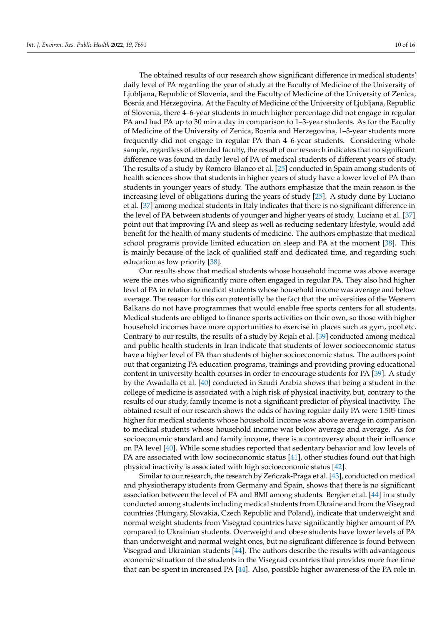The obtained results of our research show significant difference in medical students' daily level of PA regarding the year of study at the Faculty of Medicine of the University of Ljubljana, Republic of Slovenia, and the Faculty of Medicine of the University of Zenica, Bosnia and Herzegovina. At the Faculty of Medicine of the University of Ljubljana, Republic of Slovenia, there 4–6-year students in much higher percentage did not engage in regular PA and had PA up to 30 min a day in comparison to 1–3-year students. As for the Faculty of Medicine of the University of Zenica, Bosnia and Herzegovina, 1–3-year students more frequently did not engage in regular PA than 4–6-year students. Considering whole sample, regardless of attended faculty, the result of our research indicates that no significant difference was found in daily level of PA of medical students of different years of study. The results of a study by Romero-Blanco et al. [\[25\]](#page-13-16) conducted in Spain among students of health sciences show that students in higher years of study have a lower level of PA than students in younger years of study. The authors emphasize that the main reason is the increasing level of obligations during the years of study [\[25\]](#page-13-16). A study done by Luciano et al. [\[37\]](#page-14-8) among medical students in Italy indicates that there is no significant difference in the level of PA between students of younger and higher years of study. Luciano et al. [\[37\]](#page-14-8) point out that improving PA and sleep as well as reducing sedentary lifestyle, would add benefit for the health of many students of medicine. The authors emphasize that medical school programs provide limited education on sleep and PA at the moment [\[38\]](#page-14-9). This is mainly because of the lack of qualified staff and dedicated time, and regarding such education as low priority [\[38\]](#page-14-9).

Our results show that medical students whose household income was above average were the ones who significantly more often engaged in regular PA. They also had higher level of PA in relation to medical students whose household income was average and below average. The reason for this can potentially be the fact that the universities of the Western Balkans do not have programmes that would enable free sports centers for all students. Medical students are obliged to finance sports activities on their own, so those with higher household incomes have more opportunities to exercise in places such as gym, pool etc. Contrary to our results, the results of a study by Rejali et al. [\[39\]](#page-14-10) conducted among medical and public health students in Iran indicate that students of lower socioeconomic status have a higher level of PA than students of higher socioeconomic status. The authors point out that organizing PA education programs, trainings and providing proving educational content in university health courses in order to encourage students for PA [\[39\]](#page-14-10). A study by the Awadalla et al. [\[40\]](#page-14-11) conducted in Saudi Arabia shows that being a student in the college of medicine is associated with a high risk of physical inactivity, but, contrary to the results of our study, family income is not a significant predictor of physical inactivity. The obtained result of our research shows the odds of having regular daily PA were 1.505 times higher for medical students whose household income was above average in comparison to medical students whose household income was below average and average. As for socioeconomic standard and family income, there is a controversy about their influence on PA level [\[40\]](#page-14-11). While some studies reported that sedentary behavior and low levels of PA are associated with low socioeconomic status [\[41\]](#page-14-12), other studies found out that high physical inactivity is associated with high socioeconomic status [\[42\]](#page-14-13).

Similar to our research, the research by Zeńczak-Praga et al. [\[43\]](#page-14-14), conducted on medical and physiotherapy students from Germany and Spain, shows that there is no significant association between the level of PA and BMI among students. Bergier et al. [\[44\]](#page-14-15) in a study conducted among students including medical students from Ukraine and from the Visegrad countries (Hungary, Slovakia, Czech Republic and Poland), indicate that underweight and normal weight students from Visegrad countries have significantly higher amount of PA compared to Ukrainian students. Overweight and obese students have lower levels of PA than underweight and normal weight ones, but no significant difference is found between Visegrad and Ukrainian students [\[44\]](#page-14-15). The authors describe the results with advantageous economic situation of the students in the Visegrad countries that provides more free time that can be spent in increased PA [\[44\]](#page-14-15). Also, possible higher awareness of the PA role in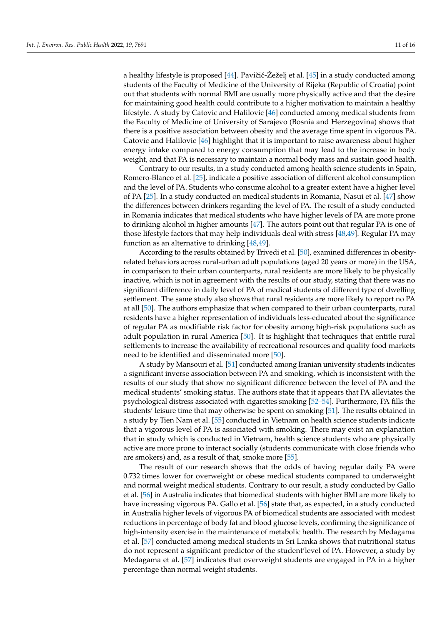a healthy lifestyle is proposed [\[44\]](#page-14-15). Pavičić-Žeželj et al. [\[45\]](#page-14-16) in a study conducted among students of the Faculty of Medicine of the University of Rijeka (Republic of Croatia) point out that students with normal BMI are usually more physically active and that the desire for maintaining good health could contribute to a higher motivation to maintain a healthy lifestyle. A study by Catovic and Halilovic [\[46\]](#page-14-17) conducted among medical students from the Faculty of Medicine of University of Sarajevo (Bosnia and Herzegovina) shows that there is a positive association between obesity and the average time spent in vigorous PA. Catovic and Halilovic [\[46\]](#page-14-17) highlight that it is important to raise awareness about higher energy intake compared to energy consumption that may lead to the increase in body weight, and that PA is necessary to maintain a normal body mass and sustain good health.

Contrary to our results, in a study conducted among health science students in Spain, Romero-Blanco et al. [\[25\]](#page-13-16), indicate a positive association of different alcohol consumption and the level of PA. Students who consume alcohol to a greater extent have a higher level of PA [\[25\]](#page-13-16). In a study conducted on medical students in Romania, Nasui et al. [\[47\]](#page-14-18) show the differences between drinkers regarding the level of PA. The result of a study conducted in Romania indicates that medical students who have higher levels of PA are more prone to drinking alcohol in higher amounts [\[47\]](#page-14-18). The autors point out that regular PA is one of those lifestyle factors that may help individuals deal with stress [\[48](#page-14-19)[,49\]](#page-14-20). Regular PA may function as an alternative to drinking [\[48](#page-14-19)[,49\]](#page-14-20).

According to the results obtained by Trivedi et al. [\[50\]](#page-14-21), examined differences in obesityrelated behaviors across rural-urban adult populations (aged 20 years or more) in the USA, in comparison to their urban counterparts, rural residents are more likely to be physically inactive, which is not in agreement with the results of our study, stating that there was no significant difference in daily level of PA of medical students of different type of dwelling settlement. The same study also shows that rural residents are more likely to report no PA at all [\[50\]](#page-14-21). The authors emphasize that when compared to their urban counterparts, rural residents have a higher representation of individuals less-educated about the significance of regular PA as modifiable risk factor for obesity among high-risk populations such as adult population in rural America [\[50\]](#page-14-21). It is highlight that techniques that entitle rural settlements to increase the availability of recreational resources and quality food markets need to be identified and disseminated more [\[50\]](#page-14-21).

A study by Mansouri et al. [\[51\]](#page-14-22) conducted among Iranian university students indicates a significant inverse association between PA and smoking, which is inconsistent with the results of our study that show no significant difference between the level of PA and the medical students' smoking status. The authors state that it appears that PA alleviates the psychological distress associated with cigarettes smoking [\[52–](#page-14-23)[54\]](#page-14-24). Furthermore, PA fills the students' leisure time that may otherwise be spent on smoking [\[51\]](#page-14-22). The results obtained in a study by Tien Nam et al. [\[55\]](#page-15-0) conducted in Vietnam on health science students indicate that a vigorous level of PA is associated with smoking. There may exist an explanation that in study which is conducted in Vietnam, health science students who are physically active are more prone to interact socially (students communicate with close friends who are smokers) and, as a result of that, smoke more [\[55\]](#page-15-0).

The result of our research shows that the odds of having regular daily PA were 0.732 times lower for overweight or obese medical students compared to underweight and normal weight medical students. Contrary to our result, a study conducted by Gallo et al. [\[56\]](#page-15-1) in Australia indicates that biomedical students with higher BMI are more likely to have increasing vigorous PA. Gallo et al. [\[56\]](#page-15-1) state that, as expected, in a study conducted in Australia higher levels of vigorous PA of biomedical students are associated with modest reductions in percentage of body fat and blood glucose levels, confirming the significance of high-intensity exercise in the maintenance of metabolic health. The research by Medagama et al. [\[57\]](#page-15-2) conducted among medical students in Sri Lanka shows that nutritional status do not represent a significant predictor of the student'level of PA. However, a study by Medagama et al. [\[57\]](#page-15-2) indicates that overweight students are engaged in PA in a higher percentage than normal weight students.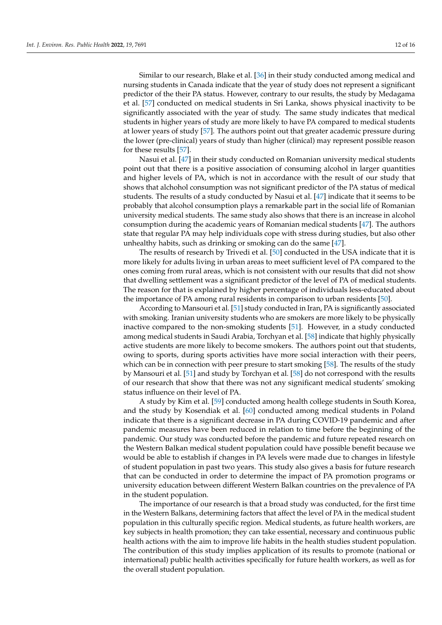Similar to our research, Blake et al. [\[36\]](#page-14-7) in their study conducted among medical and nursing students in Canada indicate that the year of study does not represent a significant predictor of the their PA status. However, contrary to our results, the study by Medagama et al. [\[57\]](#page-15-2) conducted on medical students in Sri Lanka, shows physical inactivity to be significantly associated with the year of study. The same study indicates that medical students in higher years of study are more likely to have PA compared to medical students at lower years of study [\[57\]](#page-15-2). The authors point out that greater academic pressure during the lower (pre-clinical) years of study than higher (clinical) may represent possible reason for these results [\[57\]](#page-15-2).

Nasui et al. [\[47\]](#page-14-18) in their study conducted on Romanian university medical students point out that there is a positive association of consuming alcohol in larger quantities and higher levels of PA, which is not in accordance with the result of our study that shows that alchohol consumption was not significant predictor of the PA status of medical students. The results of a study conducted by Nasui et al. [\[47\]](#page-14-18) indicate that it seems to be probably that alcohol consumption plays a remarkable part in the social life of Romanian university medical students. The same study also shows that there is an increase in alcohol consumption during the academic years of Romanian medical students [\[47\]](#page-14-18). The authors state that regular PA may help individuals cope with stress during studies, but also other unhealthy habits, such as drinking or smoking can do the same [\[47\]](#page-14-18).

The results of research by Trivedi et al. [\[50\]](#page-14-21) conducted in the USA indicate that it is more likely for adults living in urban areas to meet sufficient level of PA compared to the ones coming from rural areas, which is not consistent with our results that did not show that dwelling settlement was a significant predictor of the level of PA of medical students. The reason for that is explained by higher percentage of individuals less-educated about the importance of PA among rural residents in comparison to urban residents [\[50\]](#page-14-21).

According to Mansouri et al. [\[51\]](#page-14-22) study conducted in Iran, PA is significantly associated with smoking. Iranian university students who are smokers are more likely to be physically inactive compared to the non-smoking students [\[51\]](#page-14-22). However, in a study conducted among medical students in Saudi Arabia, Torchyan et al. [\[58\]](#page-15-3) indicate that highly physically active students are more likely to become smokers. The authors point out that students, owing to sports, during sports activities have more social interaction with their peers, which can be in connection with peer presure to start smoking [\[58\]](#page-15-3). The results of the study by Mansouri et al. [\[51\]](#page-14-22) and study by Torchyan et al. [\[58\]](#page-15-3) do not correspond with the results of our research that show that there was not any significant medical students' smoking status influence on their level of PA.

A study by Kim et al. [\[59\]](#page-15-4) conducted among health college students in South Korea, and the study by Kosendiak et al. [\[60\]](#page-15-5) conducted among medical students in Poland indicate that there is a significant decrease in PA during COVID-19 pandemic and after pandemic measures have been reduced in relation to time before the beginning of the pandemic. Our study was conducted before the pandemic and future repeated research on the Western Balkan medical student population could have possible benefit because we would be able to establish if changes in PA levels were made due to changes in lifestyle of student population in past two years. This study also gives a basis for future research that can be conducted in order to determine the impact of PA promotion programs or university education between different Western Balkan countries on the prevalence of PA in the student population.

The importance of our research is that a broad study was conducted, for the first time in the Western Balkans, determining factors that affect the level of PA in the medical student population in this culturally specific region. Medical students, as future health workers, are key subjects in health promotion; they can take essential, necessary and continuous public health actions with the aim to improve life habits in the health studies student population. The contribution of this study implies application of its results to promote (national or international) public health activities specifically for future health workers, as well as for the overall student population.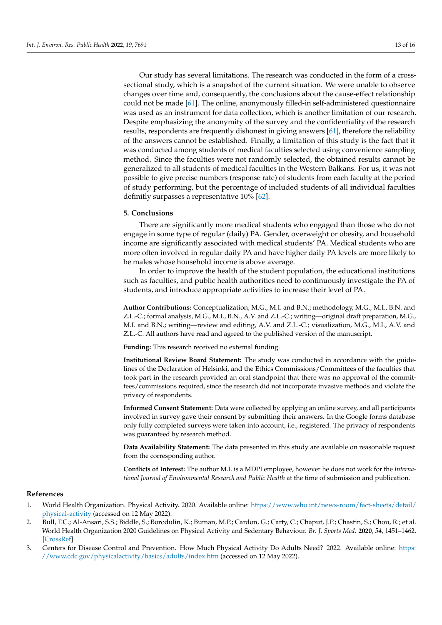Our study has several limitations. The research was conducted in the form of a crosssectional study, which is a snapshot of the current situation. We were unable to observe changes over time and, consequently, the conclusions about the cause-effect relationship could not be made [\[61\]](#page-15-6). The online, anonymously filled-in self-administered questionnaire was used as an instrument for data collection, which is another limitation of our research. Despite emphasizing the anonymity of the survey and the confidentiality of the research results, respondents are frequently dishonest in giving answers [\[61\]](#page-15-6), therefore the reliability of the answers cannot be established. Finally, a limitation of this study is the fact that it was conducted among students of medical faculties selected using convenience sampling method. Since the faculties were not randomly selected, the obtained results cannot be generalized to all students of medical faculties in the Western Balkans. For us, it was not possible to give precise numbers (response rate) of students from each faculty at the period of study performing, but the percentage of included students of all individual faculties definitly surpasses a representative 10% [\[62\]](#page-15-7).

## **5. Conclusions**

There are significantly more medical students who engaged than those who do not engage in some type of regular (daily) PA. Gender, overweight or obesity, and household income are significantly associated with medical students' PA. Medical students who are more often involved in regular daily PA and have higher daily PA levels are more likely to be males whose household income is above average.

In order to improve the health of the student population, the educational institutions such as faculties, and public health authorities need to continuously investigate the PA of students, and introduce appropriate activities to increase their level of PA.

**Author Contributions:** Conceptualization, M.G., M.I. and B.N.; methodology, M.G., M.I., B.N. and Z.L.-C.; formal analysis, M.G., M.I., B.N., A.V. and Z.L.-C.; writing—original draft preparation, M.G., M.I. and B.N.; writing—review and editing, A.V. and Z.L.-C.; visualization, M.G., M.I., A.V. and Z.L.-C. All authors have read and agreed to the published version of the manuscript.

**Funding:** This research received no external funding.

**Institutional Review Board Statement:** The study was conducted in accordance with the guidelines of the Declaration of Helsinki, and the Ethics Commissions/Committees of the faculties that took part in the research provided an oral standpoint that there was no approval of the committees/commissions required, since the research did not incorporate invasive methods and violate the privacy of respondents.

**Informed Consent Statement:** Data were collected by applying an online survey, and all participants involved in survey gave their consent by submitting their answers. In the Google forms database only fully completed surveys were taken into account, i.e., registered. The privacy of respondents was guaranteed by research method.

**Data Availability Statement:** The data presented in this study are available on reasonable request from the corresponding author.

**Conflicts of Interest:** The author M.I. is a MDPI employee, however he does not work for the *International Journal of Environmental Research and Public Health* at the time of submission and publication.

#### **References**

- <span id="page-12-0"></span>1. World Health Organization. Physical Activity. 2020. Available online: [https://www.who.int/news-room/fact-sheets/detail/](https://www.who.int/news-room/fact-sheets/detail/physical-activity) [physical-activity](https://www.who.int/news-room/fact-sheets/detail/physical-activity) (accessed on 12 May 2022).
- <span id="page-12-1"></span>2. Bull, F.C.; Al-Ansari, S.S.; Biddle, S.; Borodulin, K.; Buman, M.P.; Cardon, G.; Carty, C.; Chaput, J.P.; Chastin, S.; Chou, R.; et al. World Health Organization 2020 Guidelines on Physical Activity and Sedentary Behaviour. *Br. J. Sports Med.* **2020**, *54*, 1451–1462. [\[CrossRef\]](http://doi.org/10.1136/bjsports-2020-102955)
- <span id="page-12-2"></span>3. Centers for Disease Control and Prevention. How Much Physical Activity Do Adults Need? 2022. Available online: [https:](https://www.cdc.gov/physicalactivity/basics/adults/index.htm) [//www.cdc.gov/physicalactivity/basics/adults/index.htm](https://www.cdc.gov/physicalactivity/basics/adults/index.htm) (accessed on 12 May 2022).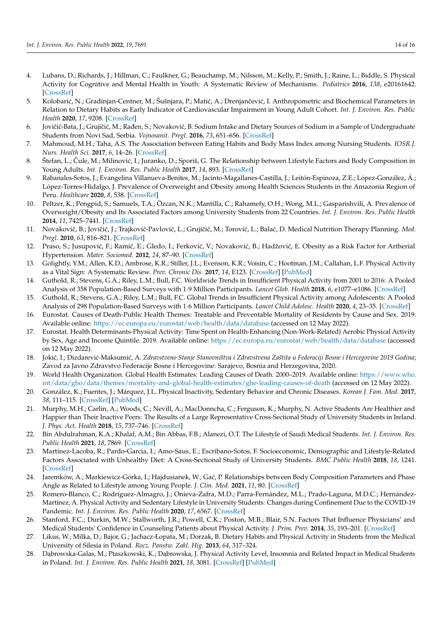- <span id="page-13-0"></span>4. Lubans, D.; Richards, J.; Hillman, C.; Faulkner, G.; Beauchamp, M.; Nilsson, M.; Kelly, P.; Smith, J.; Raine, L.; Biddle, S. Physical Activity for Cognitive and Mental Health in Youth: A Systematic Review of Mechanisms. *Pediatrics* **2016**, *138*, e20161642. [\[CrossRef\]](http://doi.org/10.1542/peds.2016-1642)
- <span id="page-13-1"></span>5. Kolobarić, N.; Gradinjan-Centner, M.; Šušnjara, P.; Matić, A.; Drenjančević, I. Anthropometric and Biochemical Parameters in Relation to Dietary Habits as Early Indicator of Cardiovascular Impairment in Young Adult Cohort. *Int. J. Environ. Res. Public Health* **2020**, *17*, 9208. [\[CrossRef\]](http://doi.org/10.3390/ijerph17249208)
- <span id="page-13-2"></span>6. Jovičić-Bata, J.; Grujičić, M.; Rađen, S.; Novaković, B. Sodium Intake and Dietary Sources of Sodium in a Sample of Undergraduate Students from Novi Sad, Serbia. *Vojnosanit. Pregl.* **2016**, *73*, 651–656. [\[CrossRef\]](http://doi.org/10.2298/VSP141010063J)
- <span id="page-13-3"></span>7. Mahmoud, M.H.; Taha, A.S. The Association between Eating Habits and Body Mass Index among Nursing Students. *IOSR J. Nurs. Health Sci.* **2017**, *6*, 14–26. [\[CrossRef\]](http://doi.org/10.9790/1959-0603061426)
- 8. Štefan, L.; Čule, M.; Milinović, I.; Juranko, D.; Sporiš, G. The Relationship between Lifestyle Factors and Body Composition in Young Adults. *Int. J. Environ. Res. Public Health* **2017**, *14*, 893. [\[CrossRef\]](http://doi.org/10.3390/ijerph14080893)
- 9. Rabanales-Sotos, J.; Evangelina Villanueva-Benites, M.; Jacinto-Magallanes-Castilla, J.; Leitón-Espinoza, Z.E.; López-González, Á.; López-Torres-Hidalgo, J. Prevalence of Overweight and Obesity among Health Sciences Students in the Amazonia Region of Peru. *Healthcare* **2020**, *8*, 538. [\[CrossRef\]](http://doi.org/10.3390/healthcare8040538)
- <span id="page-13-4"></span>10. Peltzer, K.; Pengpid, S.; Samuels, T.A.; Özcan, N.K.; Mantilla, C.; Rahamefy, O.H.; Wong, M.L.; Gasparishvili, A. Prevalence of Overweight/Obesity and Its Associated Factors among University Students from 22 Countries. *Int. J. Environ. Res. Public Health* **2014**, *11*, 7425–7441. [\[CrossRef\]](http://doi.org/10.3390/ijerph110707425)
- <span id="page-13-5"></span>11. Novaković, B.; Jovičić, J.; Trajković-Pavlović, L.; Grujičić, M.; Torović, L.; Balać, D. Medical Nutrition Therapy Planning. Med. *Pregl.* **2010**, *63*, 816–821. [\[CrossRef\]](http://doi.org/10.2298/MPNS1012816N)
- <span id="page-13-6"></span>12. Praso, S.; Jusupović, F.; Ramić, E.; Gledo, I.; Ferković, V.; Novaković, B.; Hadžović, E. Obesity as a Risk Factor for Artherial Hypertension. *Mater. Sociomed.* **2012**, *24*, 87–90. [\[CrossRef\]](http://doi.org/10.5455/msm.2012.24.87-90)
- <span id="page-13-7"></span>13. Golightly, Y.M.; Allen, K.D.; Ambrose, K.R.; Stiller, J.L.; Evenson, K.R.; Voisin, C.; Hootman, J.M.; Callahan, L.F. Physical Activity as a Vital Sign: A Systematic Review. *Prev. Chronic Dis.* **2017**, *14*, E123. [\[CrossRef\]](http://doi.org/10.5888/pcd14.170030) [\[PubMed\]](http://www.ncbi.nlm.nih.gov/pubmed/29191260)
- <span id="page-13-8"></span>14. Guthold, R.; Stevens, G.A.; Riley, L.M.; Bull, F.C. Worldwide Trends in Insufficient Physical Activity from 2001 to 2016: A Pooled Analysis of 358 Population-Based Surveys with 1·9 Million Participants. *Lancet Glob. Health* **2018**, *6*, e1077–e1086. [\[CrossRef\]](http://doi.org/10.1016/S2214-109X(18)30357-7)
- <span id="page-13-9"></span>15. Guthold, R.; Stevens, G.A.; Riley, L.M.; Bull, F.C. Global Trends in Insufficient Physical Activity among Adolescents: A Pooled Analysis of 298 Population-Based Surveys with 1·6 Million Participants. *Lancet Child Adolesc. Health* **2020**, *4*, 23–35. [\[CrossRef\]](http://doi.org/10.1016/S2352-4642(19)30323-2)
- <span id="page-13-10"></span>16. Eurostat. Causes of Death-Public Health Themes: Treatable and Preventable Mortality of Residents by Cause and Sex. 2019. Available online: <https://ec.europa.eu/eurostat/web/health/data/database> (accessed on 12 May 2022).
- <span id="page-13-12"></span>17. Eurostat. Health Determinants-Physical Activity: Time Spent on Health-Enhancing (Non-Work-Related) Aerobic Physical Activity by Sex, Age and Income Quintile. 2019. Available online: <https://ec.europa.eu/eurostat/web/health/data/database> (accessed on 12 May 2022).
- <span id="page-13-13"></span>18. Jokić, I.; Dizdarević-Maksumić, A. Zdravstveno Stanje Stanovništva i Zdravstvena Zaštita u Federaciji Bosne i Hercegovine 2019 Godina; Zavod za Javno Zdravstvo Federacije Bosne i Hercegovine: Sarajevo, Bosnia and Herzegovina, 2020.
- <span id="page-13-11"></span>19. World Health Organization. Global Health Estimates: Leading Causes of Death. 2000–2019. Available online: [https://www.who.](https://www.who.int/data/gho/data/themes/mortality-and-global-health-estimates/ghe-leading-causes-of-death) [int/data/gho/data/themes/mortality-and-global-health-estimates/ghe-leading-causes-of-death](https://www.who.int/data/gho/data/themes/mortality-and-global-health-estimates/ghe-leading-causes-of-death) (accessed on 12 May 2022).
- <span id="page-13-14"></span>20. González, K.; Fuentes, J.; Márquez, J.L. Physical Inactivity, Sedentary Behavior and Chronic Diseases. *Korean J. Fam. Med.* **2017**, *38*, 111–115. [\[CrossRef\]](http://doi.org/10.4082/kjfm.2017.38.3.111) [\[PubMed\]](http://www.ncbi.nlm.nih.gov/pubmed/28572885)
- 21. Murphy, M.H.; Carlin, A.; Woods, C.; Nevill, A.; MacDonncha, C.; Ferguson, K.; Murphy, N. Active Students Are Healthier and Happier than Their Inactive Peers: The Results of a Large Representative Cross-Sectional Study of University Students in Ireland. *J. Phys. Act. Health* **2018**, *15*, 737–746. [\[CrossRef\]](http://doi.org/10.1123/jpah.2017-0432)
- <span id="page-13-15"></span>22. Bin Abdulrahman, K.A.; Khalaf, A.M.; Bin Abbas, F.B.; Alanezi, O.T. The Lifestyle of Saudi Medical Students. *Int. J. Environ. Res. Public Health* **2021**, *18*, 7869. [\[CrossRef\]](http://doi.org/10.3390/ijerph18157869)
- <span id="page-13-20"></span>23. Martinez-Lacoba, R.; Pardo-Garcia, I.; Amo-Saus, E.; Escribano-Sotos, F. Socioeconomic, Demographic and Lifestyle-Related Factors Associated with Unhealthy Diet: A Cross-Sectional Study of University Students. *BMC Public Health* **2018**, *18*, 1241. [\[CrossRef\]](http://doi.org/10.1186/s12889-018-6149-3)
- <span id="page-13-21"></span>24. Jaremków, A.; Markiewicz-Górka, I.; Hajdusianek, W.; Ga´c, P. Relationships between Body Composition Parameters and Phase Angle as Related to Lifestyle among Young People. *J. Clin. Med.* **2021**, *11*, 80. [\[CrossRef\]](http://doi.org/10.3390/jcm11010080)
- <span id="page-13-16"></span>25. Romero-Blanco, C.; Rodríguez-Almagro, J.; Onieva-Zafra, M.D.; Parra-Fernández, M.L.; Prado-Laguna, M.D.C.; Hernández-Martínez, A. Physical Activity and Sedentary Lifestyle in University Students: Changes during Confinement Due to the COVID-19 Pandemic. *Int. J. Environ. Res. Public Health* **2020**, *17*, 6567. [\[CrossRef\]](http://doi.org/10.3390/ijerph17186567)
- <span id="page-13-17"></span>26. Stanford, F.C.; Durkin, M.W.; Stallworth, J.R.; Powell, C.K.; Poston, M.B.; Blair, S.N. Factors That Influence Physicians' and Medical Students' Confidence in Counseling Patients about Physical Activity. *J. Prim. Prev.* **2014**, *35*, 193–201. [\[CrossRef\]](http://doi.org/10.1007/s10935-014-0345-4)
- <span id="page-13-18"></span>27. Likus, W.; Milka, D.; Bajor, G.; Jachacz-Łopata, M.; Dorzak, B. Dietary Habits and Physical Activity in Students from the Medical University of Silesia in Poland. *Rocz. Panstw. Zakl. Hig.* **2013**, *64*, 317–324.
- <span id="page-13-19"></span>28. Dabrowska-Galas, M.; Ptaszkowski, K.; Dabrowska, J. Physical Activity Level, Insomnia and Related Impact in Medical Students in Poland. *Int. J. Environ. Res. Public Health* **2021**, *18*, 3081. [\[CrossRef\]](http://doi.org/10.3390/ijerph18063081) [\[PubMed\]](http://www.ncbi.nlm.nih.gov/pubmed/33802730)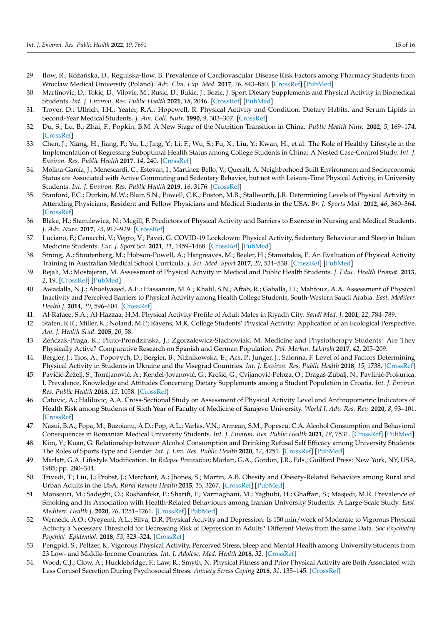- <span id="page-14-0"></span>29. Ilow, R.; Różańska, D.; Regulska-Ilow, B. Prevalence of Cardiovascular Disease Risk Factors among Pharmacy Students from Wroclaw Medical University (Poland). *Adv. Clin. Exp. Med.* **2017**, *26*, 843–850. [\[CrossRef\]](http://doi.org/10.17219/acem/61439) [\[PubMed\]](http://www.ncbi.nlm.nih.gov/pubmed/29068582)
- <span id="page-14-1"></span>30. Martinovic, D.; Tokic, D.; Vilovic, M.; Rusic, D.; Bukic, J.; Bozic, J. Sport Dietary Supplements and Physical Activity in Biomedical Students. *Int. J. Environ. Res. Public Health* **2021**, *18*, 2046. [\[CrossRef\]](http://doi.org/10.3390/ijerph18042046) [\[PubMed\]](http://www.ncbi.nlm.nih.gov/pubmed/33669800)
- <span id="page-14-2"></span>31. Troyer, D.; Ullrich, I.H.; Yeater, R.A.; Hopewell, R. Physical Activity and Condition, Dietary Habits, and Serum Lipids in Second-Year Medical Students. *J. Am. Coll. Nutr.* **1990**, *9*, 303–307. [\[CrossRef\]](http://doi.org/10.1080/07315724.1990.10720384)
- <span id="page-14-3"></span>32. Du, S.; Lu, B.; Zhai, F.; Popkin, B.M. A New Stage of the Nutrition Transition in China. *Public Health Nutr.* **2002**, *5*, 169–174. [\[CrossRef\]](http://doi.org/10.1079/PHN2001290)
- <span id="page-14-4"></span>33. Chen, J.; Xiang, H.; Jiang, P.; Yu, L.; Jing, Y.; Li, F.; Wu, S.; Fu, X.; Liu, Y.; Kwan, H.; et al. The Role of Healthy Lifestyle in the Implementation of Regressing Suboptimal Health Status among College Students in China: A Nested Case-Control Study. *Int. J. Environ. Res. Public Health* **2017**, *14*, 240. [\[CrossRef\]](http://doi.org/10.3390/ijerph14030240)
- <span id="page-14-5"></span>34. Molina-García, J.; Menescardi, C.; Estevan, I.; Martínez-Bello, V.; Queralt, A. Neighborhood Built Environment and Socioeconomic Status are Associated with Active Commuting and Sedentary Behavior, but not with Leisure-Time Physical Activity, in University Students. *Int. J. Environ. Res. Public Health* **2019**, *16*, 3176. [\[CrossRef\]](http://doi.org/10.3390/ijerph16173176)
- <span id="page-14-6"></span>35. Stanford, F.C.; Durkin, M.W.; Blair, S.N.; Powell, C.K.; Poston, M.B.; Stallworth, J.R. Determining Levels of Physical Activity in Attending Physicians, Resident and Fellow Physicians and Medical Students in the USA. *Br. J. Sports Med.* **2012**, *46*, 360–364. [\[CrossRef\]](http://doi.org/10.1136/bjsports-2011-090299)
- <span id="page-14-7"></span>36. Blake, H.; Stanulewicz, N.; Mcgill, F. Predictors of Physical Activity and Barriers to Exercise in Nursing and Medical Students. *J. Adv. Nurs.* **2017**, *73*, 917–929. [\[CrossRef\]](http://doi.org/10.1111/jan.13181)
- <span id="page-14-8"></span>37. Luciano, F.; Cenacchi, V.; Vegro, V.; Pavei, G. COVID-19 Lockdown: Physical Activity, Sedentary Behaviour and Sleep in Italian Medicine Students. *Eur. J. Sport Sci.* **2021**, *21*, 1459–1468. [\[CrossRef\]](http://doi.org/10.1080/17461391.2020.1842910) [\[PubMed\]](http://www.ncbi.nlm.nih.gov/pubmed/33108970)
- <span id="page-14-9"></span>38. Strong, A.; Stoutenberg, M.; Hobson-Powell, A.; Hargreaves, M.; Beeler, H.; Stamatakis, E. An Evaluation of Physical Activity Training in Australian Medical School Curricula. *J. Sci. Med. Sport* **2017**, *20*, 534–538. [\[CrossRef\]](http://doi.org/10.1016/j.jsams.2016.10.011) [\[PubMed\]](http://www.ncbi.nlm.nih.gov/pubmed/28209318)
- <span id="page-14-10"></span>39. Rejali, M.; Mostajeran, M. Assessment of Physical Activity in Medical and Public Health Students. *J. Educ. Health Promot.* **2013**, *2*, 19. [\[CrossRef\]](http://doi.org/10.4103/2277-9531.112690) [\[PubMed\]](http://www.ncbi.nlm.nih.gov/pubmed/24083269)
- <span id="page-14-11"></span>40. Awadalla, N.J.; Aboelyazed, A.E.; Hassanein, M.A.; Khalil, S.N.; Aftab, R.; Gaballa, I.I.; Mahfouz, A.A. Assessment of Physical Inactivity and Perceived Barriers to Physical Activity among Health College Students, South-Western Saudi Arabia. *East. Mediterr. Health J.* **2014**, *20*, 596–604. [\[CrossRef\]](http://doi.org/10.26719/2014.20.10.596)
- <span id="page-14-12"></span>41. Al-Rafaee, S.A.; Al-Hazzaa, H.M. Physical Activity Profile of Adult Males in Riyadh City. *Saudi Med. J.* **2001**, *22*, 784–789.
- <span id="page-14-13"></span>42. Staten, R.R.; Miller, K.; Noland, M.P.; Rayens, M.K. College Students' Physical Activity: Application of an Ecological Perspective. *Am. J. Health Stud.* **2005**, *20*, 58.
- <span id="page-14-14"></span>43. Zeńczak-Praga, K.; Pluto-Prondzinska, J.; Zgorzalewicz-Stachowiak, M. Medicine and Physiotherapy Students: Are They Physically Active? Comparative Research on Spanish and German Population. *Pol. Merkur. Lekarski* **2017**, *42*, 205–209.
- <span id="page-14-15"></span>44. Bergier, J.; Tsos, A.; Popovych, D.; Bergier, B.; Niźnikowska, E.; Ács, P.; Junger, J.; Salonna, F. Level of and Factors Determining Physical Activity in Students in Ukraine and the Visegrad Countries. *Int. J. Environ. Res. Public Health* **2018**, *15*, 1738. [\[CrossRef\]](http://doi.org/10.3390/ijerph15081738)
- <span id="page-14-16"></span>45. Pavičić-Žeželj, S.; Tomljanović, A.; Kenđel-Jovanović, G.; Krešić, G.; Cvijanović-Peloza, O.; Dragaš-Zubalj, N.; Pavlinić-Prokurica, I. Prevalence, Knowledge and Attitudes Concerning Dietary Supplements among a Student Population in Croatia. *Int. J. Environ. Res. Public Health* **2018**, *15*, 1058. [\[CrossRef\]](http://doi.org/10.3390/ijerph15061058)
- <span id="page-14-17"></span>46. Catovic, A.; Halilovic, A.A. Cross-Sectional Study on Assessment of Physical Activity Level and Anthropometric Indicators of Health Risk among Students of Sixth Year of Faculty of Medicine of Sarajevo University. *World J. Adv. Res. Rev.* **2020**, *8*, 93–101. [\[CrossRef\]](http://doi.org/10.30574/wjarr.2020.8.1.0366)
- <span id="page-14-18"></span>47. Nasui, B.A.; Popa, M.; Buzoianu, A.D.; Pop, A.L.; Varlas, V.N.; Armean, S.M.; Popescu, C.A. Alcohol Consumption and Behavioral Consequences in Romanian Medical University Students. *Int. J. Environ. Res. Public Health* **2021**, *18*, 7531. [\[CrossRef\]](http://doi.org/10.3390/ijerph18147531) [\[PubMed\]](http://www.ncbi.nlm.nih.gov/pubmed/34299980)
- <span id="page-14-19"></span>48. Kim, Y.; Kuan, G. Relationship between Alcohol Consumption and Drinking Refusal Self Efficacy among University Students: The Roles of Sports Type and Gender. *Int. J. Env. Res. Public Health* **2020**, *17*, 4251. [\[CrossRef\]](http://doi.org/10.3390/ijerph17124251) [\[PubMed\]](http://www.ncbi.nlm.nih.gov/pubmed/32545921)
- <span id="page-14-20"></span>49. Marlatt, G.A. Lifestyle Modification. In *Relapse Prevention*; Marlatt, G.A., Gordon, J.R., Eds.; Guilford Press: New York, NY, USA, 1985; pp. 280–344.
- <span id="page-14-21"></span>50. Trivedi, T.; Liu, J.; Probst, J.; Merchant, A.; Jhones, S.; Martin, A.B. Obesity and Obesity-Related Behaviors among Rural and Urban Adults in the USA. *Rural Remote Health* **2015**, *15*, 3267. [\[CrossRef\]](http://doi.org/10.22605/RRH3267) [\[PubMed\]](http://www.ncbi.nlm.nih.gov/pubmed/26458564)
- <span id="page-14-22"></span>51. Mansouri, M.; Sadeghi, O.; Roshanfekr, P.; Sharifi, F.; Varmaghani, M.; Yaghubi, H.; Ghaffari, S.; Masjedi, M.R. Prevalence of Smoking and Its Association with Health-Related Behaviours among Iranian University Students: A Large-Scale Study. *East. Mediterr. Health J.* **2020**, *26*, 1251–1261. [\[CrossRef\]](http://doi.org/10.26719/emhj.20.053) [\[PubMed\]](http://www.ncbi.nlm.nih.gov/pubmed/33103753)
- <span id="page-14-23"></span>52. Werneck, A.O.; Oyeyemi, A.L.; Silva, D.R. Physical Activity and Depression: Is 150 min/week of Moderate to Vigorous Physical Activity a Necessary Threshold for Decreasing Risk of Depression in Adults? Different Views from the same Data. *Soc Psychiatry Psychiat. Epidemiol.* **2018**, *53*, 323–324. [\[CrossRef\]](http://doi.org/10.1007/s00127-018-1490-5)
- 53. Pengpid, S.; Peltzer, K. Vigorous Physical Activity, Perceived Stress, Sleep and Mental Health among University Students from 23 Low- and Middle-Income Countries. *Int. J. Adolesc. Med. Health* **2018**, *32*. [\[CrossRef\]](http://doi.org/10.1515/ijamh-2017-0116)
- <span id="page-14-24"></span>54. Wood, C.J.; Clow, A.; Hucklebridge, F.; Law, R.; Smyth, N. Physical Fitness and Prior Physical Activity are Both Associated with Less Cortisol Secretion During Psychosocial Stress. *Anxiety Stress Coping* **2018**, *31*, 135–145. [\[CrossRef\]](http://doi.org/10.1080/10615806.2017.1390083)